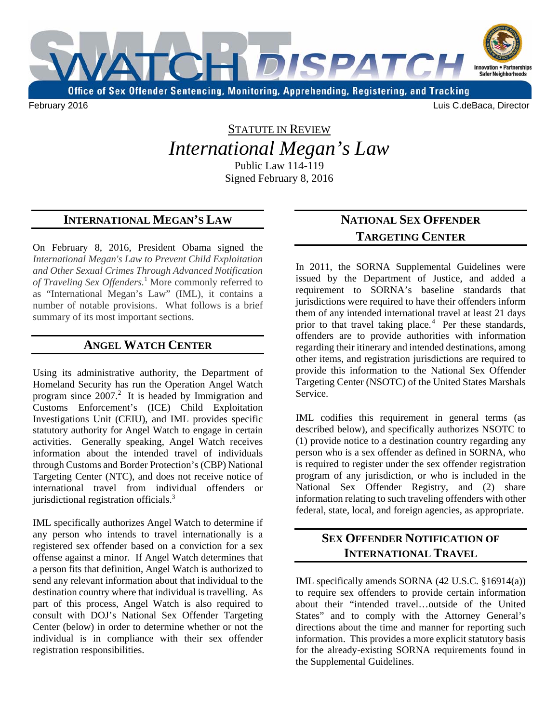

February 2016 Luis C.deBaca, Director

# STATUTE IN REVIEW *International Megan's Law*

Public Law 114-119 Signed February 8, 2016

# **INTERNATIONAL MEGAN'S LAW**

On February 8, 2016, President Obama signed the *International Megan's Law to Prevent Child Exploitation and Other Sexual Crimes Through Advanced Notification of Traveling Sex Offenders.*1 More commonly referred to as "International Megan's Law" (IML), it contains a number of notable provisions. What follows is a brief summary of its most important sections.

# **ANGEL WATCH CENTER**

jurisdictional registration officials.<sup>3</sup> Using its administrative authority, the Department of Homeland Security has run the Operation Angel Watch program since  $2007<sup>2</sup>$  It is headed by Immigration and Customs Enforcement's (ICE) Child Exploitation Investigations Unit (CEIU), and IML provides specific statutory authority for Angel Watch to engage in certain activities. Generally speaking, Angel Watch receives information about the intended travel of individuals through Customs and Border Protection's (CBP) National Targeting Center (NTC), and does not receive notice of international travel from individual offenders or

IML specifically authorizes Angel Watch to determine if any person who intends to travel internationally is a registered sex offender based on a conviction for a sex offense against a minor. If Angel Watch determines that a person fits that definition, Angel Watch is authorized to send any relevant information about that individual to the destination country where that individual is travelling. As part of this process, Angel Watch is also required to consult with DOJ's National Sex Offender Targeting Center (below) in order to determine whether or not the individual is in compliance with their sex offender registration responsibilities.

# **NATIONAL SEX OFFENDER TARGETING CENTER**

In 2011, the SORNA Supplemental Guidelines were issued by the Department of Justice, and added a requirement to SORNA's baseline standards that jurisdictions were required to have their offenders inform them of any intended international travel at least 21 days prior to that travel taking place.<sup>4</sup> Per these standards, offenders are to provide authorities with information regarding their itinerary and intended destinations, among other items, and registration jurisdictions are required to provide this information to the National Sex Offender Targeting Center (NSOTC) of the United States Marshals Service.

IML codifies this requirement in general terms (as described below), and specifically authorizes NSOTC to (1) provide notice to a destination country regarding any person who is a sex offender as defined in SORNA, who is required to register under the sex offender registration program of any jurisdiction, or who is included in the National Sex Offender Registry, and (2) share information relating to such traveling offenders with other federal, state, local, and foreign agencies, as appropriate.

# **SEX OFFENDER NOTIFICATION OF INTERNATIONAL TRAVEL**

IML specifically amends SORNA (42 U.S.C. §16914(a)) to require sex offenders to provide certain information about their "intended travel…outside of the United States" and to comply with the Attorney General's directions about the time and manner for reporting such information. This provides a more explicit statutory basis for the already-existing SORNA requirements found in the Supplemental Guidelines.